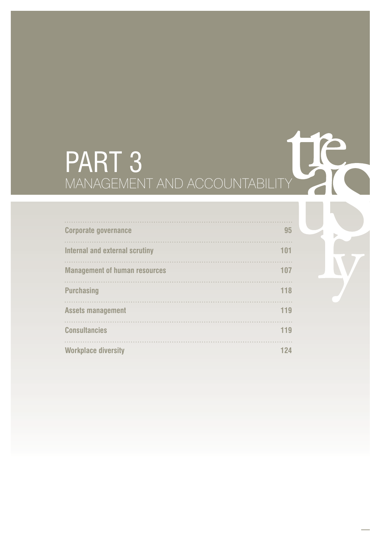# PART 3 MANAGEMENT AND ACCOUNTABILITY

| <b>Corporate governance</b>          | 95  |
|--------------------------------------|-----|
| Internal and external scrutiny       | 101 |
| <b>Management of human resources</b> | 107 |
| <b>Purchasing</b>                    | 118 |
| <b>Assets management</b>             | 119 |
| <b>Consultancies</b>                 | 119 |
| <b>Workplace diversity</b>           | 124 |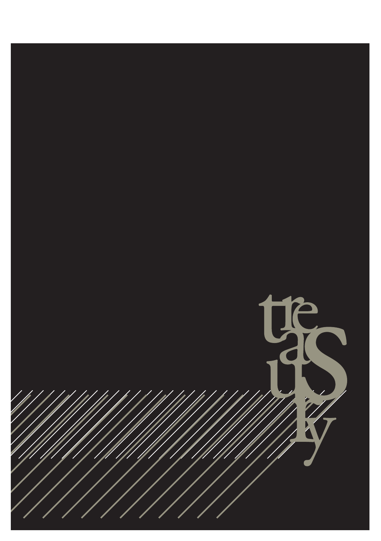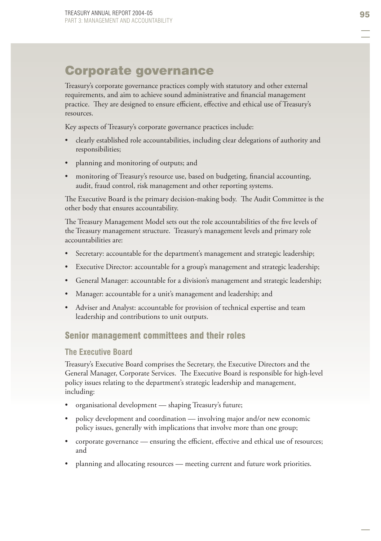# Corporate governance

Treasury's corporate governance practices comply with statutory and other external requirements, and aim to achieve sound administrative and financial management practice. They are designed to ensure efficient, effective and ethical use of Treasury's resources.

Key aspects of Treasury's corporate governance practices include:

- clearly established role accountabilities, including clear delegations of authority and responsibilities; •
- planning and monitoring of outputs; and •
- monitoring of Treasury's resource use, based on budgeting, financial accounting, audit, fraud control, risk management and other reporting systems. •

The Executive Board is the primary decision-making body. The Audit Committee is the other body that ensures accountability.

The Treasury Management Model sets out the role accountabilities of the five levels of the Treasury management structure. Treasury's management levels and primary role accountabilities are:

- Secretary: accountable for the department's management and strategic leadership; •
- Executive Director: accountable for a group's management and strategic leadership; •
- General Manager: accountable for a division's management and strategic leadership; •
- Manager: accountable for a unit's management and leadership; and •
- Adviser and Analyst: accountable for provision of technical expertise and team leadership and contributions to unit outputs. •

### Senior management committees and their roles

#### **The Executive Board**

Treasury's Executive Board comprises the Secretary, the Executive Directors and the General Manager, Corporate Services. The Executive Board is responsible for high-level policy issues relating to the department's strategic leadership and management, including:

- organisational development shaping Treasury's future; •
- policy development and coordination involving major and/or new economic policy issues, generally with implications that involve more than one group; •
- corporate governance ensuring the efficient, effective and ethical use of resources; and •
- planning and allocating resources meeting current and future work priorities. •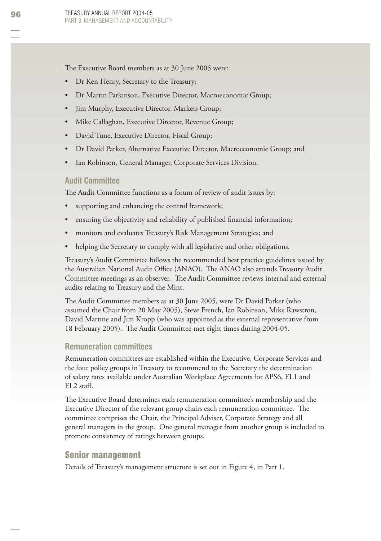The Executive Board members as at 30 June 2005 were:

- Dr Ken Henry, Secretary to the Treasury; •
- Dr Martin Parkinson, Executive Director, Macroeconomic Group; •
- Jim Murphy, Executive Director, Markets Group; •
- Mike Callaghan, Executive Director, Revenue Group; •
- David Tune, Executive Director, Fiscal Group; •
- Dr David Parker, Alternative Executive Director, Macroeconomic Group; and •
- Ian Robinson, General Manager, Corporate Services Division. •

#### **Audit Committee**

The Audit Committee functions as a forum of review of audit issues by:

- supporting and enhancing the control framework; •
- ensuring the objectivity and reliability of published financial information; •
- monitors and evaluates Treasury's Risk Management Strategies; and •
- helping the Secretary to comply with all legislative and other obligations. •

Treasury's Audit Committee follows the recommended best practice guidelines issued by the Australian National Audit Office (ANAO). The ANAO also attends Treasury Audit Committee meetings as an observer. The Audit Committee reviews internal and external audits relating to Treasury and the Mint.

The Audit Committee members as at 30 June 2005, were Dr David Parker (who assumed the Chair from 20 May 2005), Steve French, Ian Robinson, Mike Rawstron, David Martine and Jim Kropp (who was appointed as the external representative from 18 February 2005). The Audit Committee met eight times during 2004-05.

#### **Remuneration committees**

Remuneration committees are established within the Executive, Corporate Services and the four policy groups in Treasury to recommend to the Secretary the determination of salary rates available under Australian Workplace Agreements for APS6, EL1 and  $EL2$  staff.

The Executive Board determines each remuneration committee's membership and the Executive Director of the relevant group chairs each remuneration committee. The committee comprises the Chair, the Principal Adviser, Corporate Strategy and all general managers in the group. One general manager from another group is included to promote consistency of ratings between groups.

#### Senior management

Details of Treasury's management structure is set out in Figure 4, in Part 1.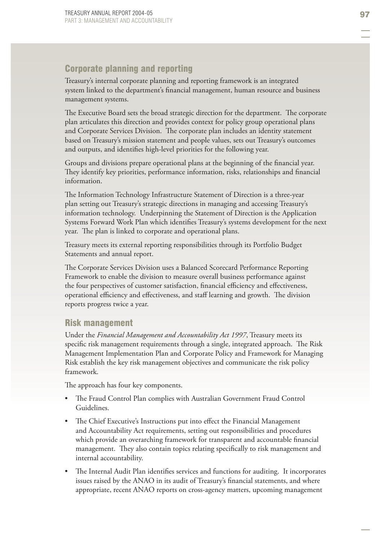# Corporate planning and reporting

Treasury's internal corporate planning and reporting framework is an integrated system linked to the department's financial management, human resource and business management systems.

The Executive Board sets the broad strategic direction for the department. The corporate plan articulates this direction and provides context for policy group operational plans and Corporate Services Division. The corporate plan includes an identity statement based on Treasury's mission statement and people values, sets out Treasury's outcomes and outputs, and identifies high-level priorities for the following year.

Groups and divisions prepare operational plans at the beginning of the financial year. They identify key priorities, performance information, risks, relationships and financial information.

The Information Technology Infrastructure Statement of Direction is a three-year plan setting out Treasury's strategic directions in managing and accessing Treasury's information technology. Underpinning the Statement of Direction is the Application Systems Forward Work Plan which identifies Treasury's systems development for the next year. The plan is linked to corporate and operational plans.

Treasury meets its external reporting responsibilities through its Portfolio Budget Statements and annual report.

The Corporate Services Division uses a Balanced Scorecard Performance Reporting Framework to enable the division to measure overall business performance against the four perspectives of customer satisfaction, financial efficiency and effectiveness, operational efficiency and effectiveness, and staff learning and growth. The division reports progress twice a year.

### Risk management

Under the *Financial Management and Accountability Act 1997*, Treasury meets its specific risk management requirements through a single, integrated approach. The Risk Management Implementation Plan and Corporate Policy and Framework for Managing Risk establish the key risk management objectives and communicate the risk policy framework.

The approach has four key components.

- The Fraud Control Plan complies with Australian Government Fraud Control Guidelines. •
- The Chief Executive's Instructions put into effect the Financial Management and Accountability Act requirements, setting out responsibilities and procedures which provide an overarching framework for transparent and accountable financial management. They also contain topics relating specifically to risk management and internal accountability.
- The Internal Audit Plan identifies services and functions for auditing. It incorporates issues raised by the ANAO in its audit of Treasury's financial statements, and where appropriate, recent ANAO reports on cross-agency matters, upcoming management •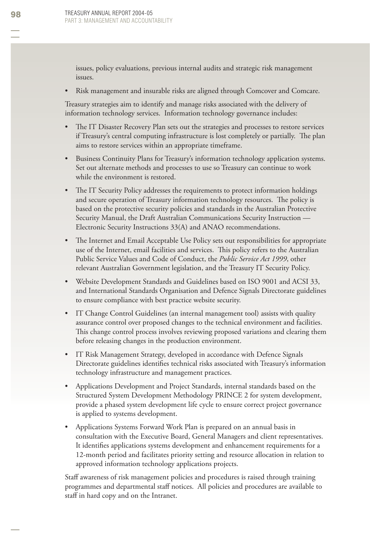issues, policy evaluations, previous internal audits and strategic risk management issues.

Risk management and insurable risks are aligned through Comcover and Comcare. •

Treasury strategies aim to identify and manage risks associated with the delivery of information technology services. Information technology governance includes:

- The IT Disaster Recovery Plan sets out the strategies and processes to restore services if Treasury's central computing infrastructure is lost completely or partially. The plan aims to restore services within an appropriate timeframe. •
- Business Continuity Plans for Treasury's information technology application systems. Set out alternate methods and processes to use so Treasury can continue to work while the environment is restored. •
- The IT Security Policy addresses the requirements to protect information holdings and secure operation of Treasury information technology resources. The policy is based on the protective security policies and standards in the Australian Protective Security Manual, the Draft Australian Communications Security Instruction — Electronic Security Instructions 33(A) and ANAO recommendations. •
- The Internet and Email Acceptable Use Policy sets out responsibilities for appropriate use of the Internet, email facilities and services. This policy refers to the Australian Public Service Values and Code of Conduct, the *Public Service Act 1999*, other relevant Australian Government legislation, and the Treasury IT Security Policy. •
- Website Development Standards and Guidelines based on ISO 9001 and ACSI 33, and International Standards Organisation and Defence Signals Directorate guidelines to ensure compliance with best practice website security. •
- IT Change Control Guidelines (an internal management tool) assists with quality assurance control over proposed changes to the technical environment and facilities. This change control process involves reviewing proposed variations and clearing them before releasing changes in the production environment. •
- IT Risk Management Strategy , developed in accordance with Defence Signals Directorate guidelines identifies technical risks associated with Treasury's information technology infrastructure and management practices. •
- Applications Development and Project Standards , internal standards based on the Structured System Development Methodology PRINCE 2 for system development, provide a phased system development life cycle to ensure correct project governance is applied to systems development. •
- Applications Systems Forward Work Plan is prepared on an annual basis in consultation with the Executive Board, General Managers and client representatives. It identifies applications systems development and enhancement requirements for a 12-month period and facilitates priority setting and resource allocation in relation to approved information technology applications projects. •

Staff awareness of risk management policies and procedures is raised through training programmes and departmental staff notices. All policies and procedures are available to staff in hard copy and on the Intranet.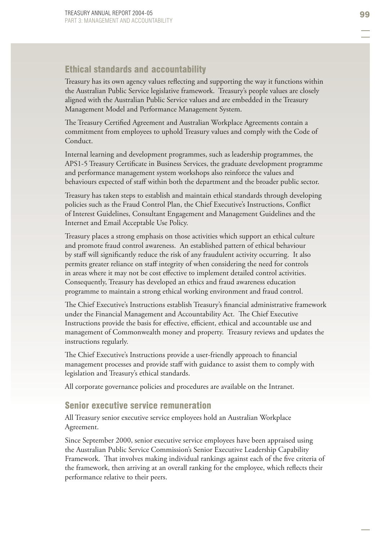# Ethical standards and accountability

Treasury has its own agency values reflecting and supporting the way it functions within the Australian Public Service legislative framework. Treasury's people values are closely aligned with the Australian Public Service values and are embedded in the Treasury Management Model and Performance Management System.

The Treasury Certified Agreement and Australian Workplace Agreements contain a commitment from employees to uphold Treasury values and comply with the Code of Conduct.

Internal learning and development programmes, such as leadership programmes, the APS1-5 Treasury Certificate in Business Services, the graduate development programme and performance management system workshops also reinforce the values and behaviours expected of staff within both the department and the broader public sector.

Treasury has taken steps to establish and maintain ethical standards through developing policies such as the Fraud Control Plan, the Chief Executive's Instructions, Conflict of Interest Guidelines, Consultant Engagement and Management Guidelines and the Internet and Email Acceptable Use Policy.

Treasury places a strong emphasis on those activities which support an ethical culture and promote fraud control awareness. An established pattern of ethical behaviour by staff will significantly reduce the risk of any fraudulent activity occurring. It also permits greater reliance on staff integrity of when considering the need for controls in areas where it may not be cost effective to implement detailed control activities. Consequently, Treasury has developed an ethics and fraud awareness education programme to maintain a strong ethical working environment and fraud control.

The Chief Executive's Instructions establish Treasury's financial administrative framework under the Financial Management and Accountability Act. The Chief Executive Instructions provide the basis for effective, efficient, ethical and accountable use and management of Commonwealth money and property. Treasury reviews and updates the instructions regularly.

The Chief Executive's Instructions provide a user-friendly approach to financial management processes and provide staff with guidance to assist them to comply with legislation and Treasury's ethical standards.

All corporate governance policies and procedures are available on the Intranet.

#### Senior executive service remuneration

All Treasury senior executive service employees hold an Australian Workplace Agreement.

Since September 2000, senior executive service employees have been appraised using the Australian Public Service Commission's Senior Executive Leadership Capability Framework. That involves making individual rankings against each of the five criteria of the framework, then arriving at an overall ranking for the employee, which reflects their performance relative to their peers.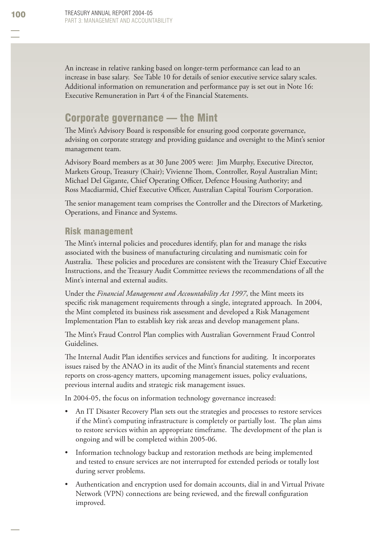An increase in relative ranking based on longer-term performance can lead to an increase in base salary. See Table 10 for details of senior executive service salary scales. Additional information on remuneration and performance pay is set out in Note 16: Executive Remuneration in Part 4 of the Financial Statements.

# Corporate governance — the Mint

The Mint's Advisory Board is responsible for ensuring good corporate governance, advising on corporate strategy and providing guidance and oversight to the Mint's senior management team.

Advisory Board members as at 30 June 2005 were: Jim Murphy, Executive Director, Markets Group, Treasury (Chair); Vivienne Thom, Controller, Royal Australian Mint; Michael Del Gigante, Chief Operating Officer, Defence Housing Authority; and Ross Macdiarmid, Chief Executive Officer, Australian Capital Tourism Corporation.

The senior management team comprises the Controller and the Directors of Marketing, Operations, and Finance and Systems.

# Risk management

The Mint's internal policies and procedures identify, plan for and manage the risks associated with the business of manufacturing circulating and numismatic coin for Australia. These policies and procedures are consistent with the Treasury Chief Executive Instructions, and the Treasury Audit Committee reviews the recommendations of all the Mint's internal and external audits.

Under the *Financial Management and Accountability Act 1997*, the Mint meets its specific risk management requirements through a single, integrated approach. In 2004, the Mint completed its business risk assessment and developed a Risk Management Implementation Plan to establish key risk areas and develop management plans.

The Mint's Fraud Control Plan complies with Australian Government Fraud Control Guidelines.

The Internal Audit Plan identifies services and functions for auditing. It incorporates issues raised by the ANAO in its audit of the Mint's financial statements and recent reports on cross-agency matters, upcoming management issues, policy evaluations, previous internal audits and strategic risk management issues.

In 2004-05, the focus on information technology governance increased:

- An IT Disaster Recovery Plan sets out the strategies and processes to restore services if the Mint's computing infrastructure is completely or partially lost. The plan aims to restore services within an appropriate timeframe. The development of the plan is ongoing and will be completed within 2005-06. •
- Information technology backup and restoration methods are being implemented and tested to ensure services are not interrupted for extended periods or totally lost during server problems. •
- Authentication and encryption used for domain accounts, dial in and Virtual Private Network (VPN) connections are being reviewed, and the firewall configuration improved. •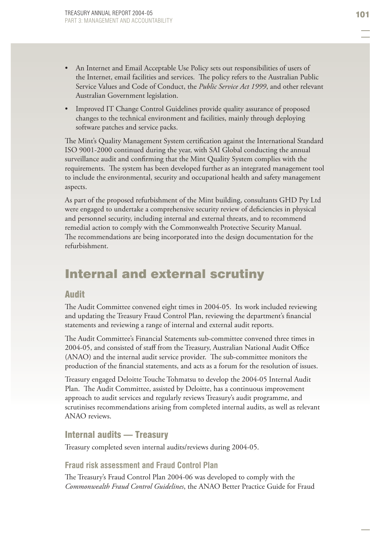- An Internet and Email Acceptable Use Policy sets out responsibilities of users of the Internet, email facilities and services. The policy refers to the Australian Public Service Values and Code of Conduct, the *Public Service Act 1999*, and other relevant Australian Government legislation. •
- Improved IT Change Control Guidelines provide quality assurance of proposed changes to the technical environment and facilities, mainly through deploying software patches and service packs. •

The Mint's Quality Management System certification against the International Standard ISO 9001-2000 continued during the year, with SAI Global conducting the annual surveillance audit and confirming that the Mint Quality System complies with the requirements. The system has been developed further as an integrated management tool to include the environmental, security and occupational health and safety management aspects.

As part of the proposed refurbishment of the Mint building, consultants GHD Pty Ltd were engaged to undertake a comprehensive security review of deficiencies in physical and personnel security, including internal and external threats, and to recommend remedial action to comply with the Commonwealth Protective Security Manual. The recommendations are being incorporated into the design documentation for the refurbishment.

# Internal and external scrutiny

#### Audit

The Audit Committee convened eight times in 2004-05. Its work included reviewing and updating the Treasury Fraud Control Plan, reviewing the department's financial statements and reviewing a range of internal and external audit reports.

The Audit Committee's Financial Statements sub-committee convened three times in 2004-05, and consisted of staff from the Treasury, Australian National Audit Office (ANAO) and the internal audit service provider. The sub-committee monitors the production of the financial statements, and acts as a forum for the resolution of issues.

Treasury engaged Deloitte Touche Tohmatsu to develop the 2004-05 Internal Audit Plan. The Audit Committee, assisted by Deloitte, has a continuous improvement approach to audit services and regularly reviews Treasury's audit programme, and scrutinises recommendations arising from completed internal audits, as well as relevant ANAO reviews.

### Internal audits — Treasury

Treasury completed seven internal audits/reviews during 2004-05.

# **Fraud risk assessment and Fraud Control Plan**

The Treasury's Fraud Control Plan 2004-06 was developed to comply with the *Commonwealth Fraud Control Guidelines*, the ANAO Better Practice Guide for Fraud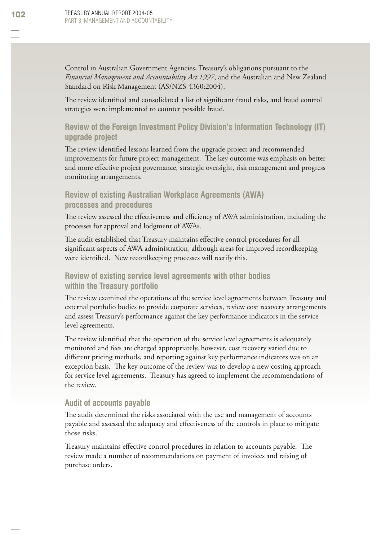Control in Australian Government Agencies, Treasury's obligations pursuant to the *Financial Management and Accountability Act 1997*, and the Australian and New Zealand Standard on Risk Management (AS/NZS 4360:2004).

The review identified and consolidated a list of significant fraud risks, and fraud control strategies were implemented to counter possible fraud.

# **Review of the Foreign Investment Policy Division's Information Technology (IT) upgrade project**

The review identified lessons learned from the upgrade project and recommended improvements for future project management. The key outcome was emphasis on better and more effective project governance, strategic oversight, risk management and progress monitoring arrangements.

#### **Review of existing Australian Workplace Agreements (AWA) processes and procedures**

The review assessed the effectiveness and efficiency of AWA administration, including the processes for approval and lodgment of AWAs.

The audit established that Treasury maintains effective control procedures for all significant aspects of AWA administration, although areas for improved recordkeeping were identified. New recordkeeping processes will rectify this.

#### **Review of existing service level agreements with other bodies within the Treasury portfolio**

The review examined the operations of the service level agreements between Treasury and external portfolio bodies to provide corporate services, review cost recovery arrangements and assess Treasury's performance against the key performance indicators in the service level agreements.

The review identified that the operation of the service level agreements is adequately monitored and fees are charged appropriately, however, cost recovery varied due to different pricing methods, and reporting against key performance indicators was on an exception basis. The key outcome of the review was to develop a new costing approach for service level agreements. Treasury has agreed to implement the recommendations of the review.

#### **Audit of accounts payable**

The audit determined the risks associated with the use and management of accounts payable and assessed the adequacy and effectiveness of the controls in place to mitigate those risks.

Treasury maintains effective control procedures in relation to accounts payable. The review made a number of recommendations on payment of invoices and raising of purchase orders.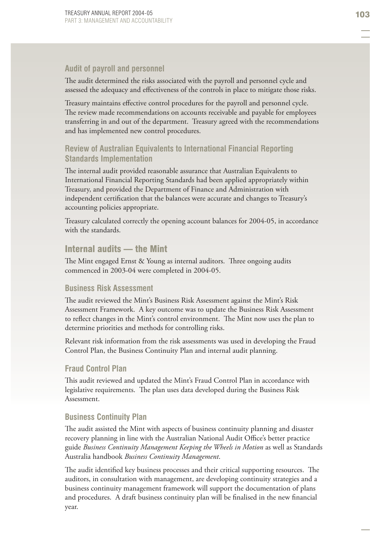#### **Audit of payroll and personnel**

The audit determined the risks associated with the payroll and personnel cycle and assessed the adequacy and effectiveness of the controls in place to mitigate those risks.

Treasury maintains effective control procedures for the payroll and personnel cycle. The review made recommendations on accounts receivable and payable for employees transferring in and out of the department. Treasury agreed with the recommendations and has implemented new control procedures.

# **Review of Australian Equivalents to International Financial Reporting Standards Implementation**

The internal audit provided reasonable assurance that Australian Equivalents to International Financial Reporting Standards had been applied appropriately within Treasury, and provided the Department of Finance and Administration with independent certification that the balances were accurate and changes to Treasury's accounting policies appropriate.

Treasury calculated correctly the opening account balances for 2004-05, in accordance with the standards.

#### Internal audits — the Mint

The Mint engaged Ernst & Young as internal auditors. Three ongoing audits commenced in 2003-04 were completed in 2004-05.

#### **Business Risk Assessment**

The audit reviewed the Mint's Business Risk Assessment against the Mint's Risk Assessment Framework. A key outcome was to update the Business Risk Assessment to reflect changes in the Mint's control environment. The Mint now uses the plan to determine priorities and methods for controlling risks.

Relevant risk information from the risk assessments was used in developing the Fraud Control Plan, the Business Continuity Plan and internal audit planning.

#### **Fraud Control Plan**

This audit reviewed and updated the Mint's Fraud Control Plan in accordance with legislative requirements. The plan uses data developed during the Business Risk Assessment.

#### **Business Continuity Plan**

The audit assisted the Mint with aspects of business continuity planning and disaster recovery planning in line with the Australian National Audit Office's better practice guide *Business Continuity Management Keeping the Wheels in Motion* as well as Standards Australia handbook *Business Continuity Management*.

The audit identified key business processes and their critical supporting resources. The auditors, in consultation with management, are developing continuity strategies and a business continuity management framework will support the documentation of plans and procedures. A draft business continuity plan will be finalised in the new financial year.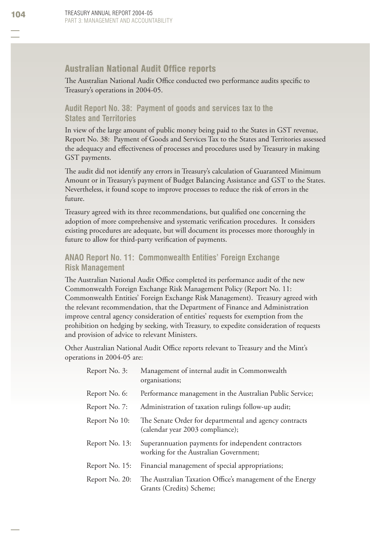#### **Australian National Audit Office reports**

The Australian National Audit Office conducted two performance audits specific to Treasury's operations in 2004-05.

#### **Audit Report No. 38: Payment of goods and services tax to the States and Territories**

In view of the large amount of public money being paid to the States in GST revenue, Report No. 38: Payment of Goods and Services Tax to the States and Territories assessed the adequacy and effectiveness of processes and procedures used by Treasury in making GST payments.

The audit did not identify any errors in Treasury's calculation of Guaranteed Minimum Amount or in Treasury's payment of Budget Balancing Assistance and GST to the States. Nevertheless, it found scope to improve processes to reduce the risk of errors in the future.

Treasury agreed with its three recommendations, but qualified one concerning the adoption of more comprehensive and systematic verification procedures. It considers existing procedures are adequate, but will document its processes more thoroughly in future to allow for third-party verification of payments.

#### **ANAO Report No. 11: Commonwealth Entities' Foreign Exchange Risk Management**

The Australian National Audit Office completed its performance audit of the new Commonwealth Foreign Exchange Risk Management Policy (Report No. 11: Commonwealth Entities' Foreign Exchange Risk Management). Treasury agreed with the relevant recommendation, that the Department of Finance and Administration improve central agency consideration of entities' requests for exemption from the prohibition on hedging by seeking, with Treasury, to expedite consideration of requests and provision of advice to relevant Ministers.

Other Australian National Audit Office reports relevant to Treasury and the Mint's operations in 2004-05 are:

| Report No. 3:  | Management of internal audit in Commonwealth<br>organisations;                                |
|----------------|-----------------------------------------------------------------------------------------------|
| Report No. 6:  | Performance management in the Australian Public Service;                                      |
| Report No. 7:  | Administration of taxation rulings follow-up audit;                                           |
| Report No 10:  | The Senate Order for departmental and agency contracts<br>(calendar year 2003 compliance);    |
| Report No. 13: | Superannuation payments for independent contractors<br>working for the Australian Government; |
| Report No. 15: | Financial management of special appropriations;                                               |
| Report No. 20: | The Australian Taxation Office's management of the Energy<br>Grants (Credits) Scheme;         |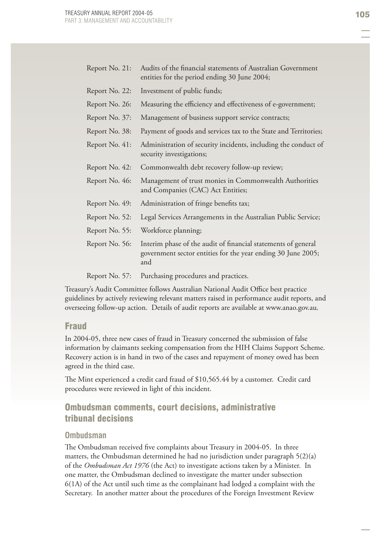| Report No. 21: | Audits of the financial statements of Australian Government<br>entities for the period ending 30 June 2004;                          |
|----------------|--------------------------------------------------------------------------------------------------------------------------------------|
| Report No. 22: | Investment of public funds;                                                                                                          |
| Report No. 26: | Measuring the efficiency and effectiveness of e-government;                                                                          |
| Report No. 37: | Management of business support service contracts;                                                                                    |
| Report No. 38: | Payment of goods and services tax to the State and Territories;                                                                      |
| Report No. 41: | Administration of security incidents, including the conduct of<br>security investigations;                                           |
| Report No. 42: | Commonwealth debt recovery follow-up review;                                                                                         |
| Report No. 46: | Management of trust monies in Commonwealth Authorities<br>and Companies (CAC) Act Entities;                                          |
| Report No. 49: | Administration of fringe benefits tax;                                                                                               |
| Report No. 52: | Legal Services Arrangements in the Australian Public Service;                                                                        |
| Report No. 55: | Workforce planning;                                                                                                                  |
| Report No. 56: | Interim phase of the audit of financial statements of general<br>government sector entities for the year ending 30 June 2005;<br>and |
| Report No. 57: | Purchasing procedures and practices.                                                                                                 |

Treasury's Audit Committee follows Australian National Audit Office best practice guidelines by actively reviewing relevant matters raised in performance audit reports, and overseeing follow-up action. Details of audit reports are available at www.anao.gov.au.

#### Fraud

In 2004-05, three new cases of fraud in Treasury concerned the submission of false information by claimants seeking compensation from the HIH Claims Support Scheme. Recovery action is in hand in two of the cases and repayment of money owed has been agreed in the third case.

The Mint experienced a credit card fraud of \$10,565.44 by a customer. Credit card procedures were reviewed in light of this incident.

# Ombudsman comments, court decisions, administrative tribunal decisions

#### **Ombudsman**

The Ombudsman received five complaints about Treasury in 2004-05. In three matters, the Ombudsman determined he had no jurisdiction under paragraph 5(2)(a) of the *Ombudsman Act 1976* (the Act) to investigate actions taken by a Minister. In one matter, the Ombudsman declined to investigate the matter under subsection 6(1A) of the Act until such time as the complainant had lodged a complaint with the Secretary. In another matter about the procedures of the Foreign Investment Review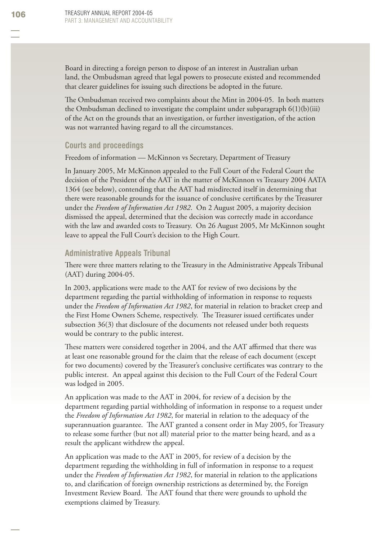Board in directing a foreign person to dispose of an interest in Australian urban land, the Ombudsman agreed that legal powers to prosecute existed and recommended that clearer guidelines for issuing such directions be adopted in the future.

The Ombudsman received two complaints about the Mint in 2004-05. In both matters the Ombudsman declined to investigate the complaint under subparagraph  $6(1)(b)(iii)$ of the Act on the grounds that an investigation, or further investigation, of the action was not warranted having regard to all the circumstances.

#### **Courts and proceedings**

Freedom of information — McKinnon vs Secretary, Department of Treasury

In January 2005, Mr McKinnon appealed to the Full Court of the Federal Court the decision of the President of the AAT in the matter of McKinnon vs Treasury 2004 AATA 1364 (see below), contending that the AAT had misdirected itself in determining that there were reasonable grounds for the issuance of conclusive certificates by the Treasurer under the *Freedom of Information Act 1982*. On 2 August 2005, a majority decision dismissed the appeal, determined that the decision was correctly made in accordance with the law and awarded costs to Treasury. On 26 August 2005, Mr McKinnon sought leave to appeal the Full Court's decision to the High Court.

#### **Administrative Appeals Tribunal**

There were three matters relating to the Treasury in the Administrative Appeals Tribunal (AAT) during 2004-05.

In 2003, applications were made to the AAT for review of two decisions by the department regarding the partial withholding of information in response to requests under the *Freedom of Information Act 1982*, for material in relation to bracket creep and the First Home Owners Scheme, respectively. The Treasurer issued certificates under subsection 36(3) that disclosure of the documents not released under both requests would be contrary to the public interest.

These matters were considered together in 2004, and the AAT affirmed that there was at least one reasonable ground for the claim that the release of each document (except for two documents) covered by the Treasurer's conclusive certificates was contrary to the public interest. An appeal against this decision to the Full Court of the Federal Court was lodged in 2005.

An application was made to the AAT in 2004, for review of a decision by the department regarding partial withholding of information in response to a request under the *Freedom of Information Act 1982*, for material in relation to the adequacy of the superannuation guarantee. The AAT granted a consent order in May 2005, for Treasury to release some further (but not all) material prior to the matter being heard, and as a result the applicant withdrew the appeal.

An application was made to the AAT in 2005, for review of a decision by the department regarding the withholding in full of information in response to a request under the *Freedom of Information Act 1982*, for material in relation to the applications to, and clarification of foreign ownership restrictions as determined by, the Foreign Investment Review Board. The AAT found that there were grounds to uphold the exemptions claimed by Treasury.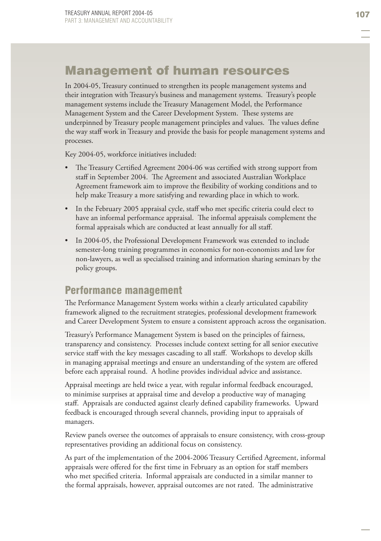# Management of human resources

In 2004-05, Treasury continued to strengthen its people management systems and their integration with Treasury's business and management systems. Treasury's people management systems include the Treasury Management Model, the Performance Management System and the Career Development System. These systems are underpinned by Treasury people management principles and values. The values define the way staff work in Treasury and provide the basis for people management systems and processes.

Key 2004-05, workforce initiatives included:

- The Treasury Certified Agreement 2004-06 was certified with strong support from staff in September 2004. The Agreement and associated Australian Workplace Agreement framework aim to improve the flexibility of working conditions and to help make Treasury a more satisfying and rewarding place in which to work. •
- In the February 2005 appraisal cycle, staff who met specific criteria could elect to have an informal performance appraisal. The informal appraisals complement the formal appraisals which are conducted at least annually for all staff. •
- In 2004-05, the Professional Development Framework was extended to include semester-long training programmes in economics for non-economists and law for non-lawyers, as well as specialised training and information sharing seminars by the policy groups. •

# Performance management

The Performance Management System works within a clearly articulated capability framework aligned to the recruitment strategies, professional development framework and Career Development System to ensure a consistent approach across the organisation.

Treasury's Performance Management System is based on the principles of fairness, transparency and consistency. Processes include context setting for all senior executive service staff with the key messages cascading to all staff. Workshops to develop skills in managing appraisal meetings and ensure an understanding of the system are offered before each appraisal round. A hotline provides individual advice and assistance.

Appraisal meetings are held twice a year, with regular informal feedback encouraged, to minimise surprises at appraisal time and develop a productive way of managing staff. Appraisals are conducted against clearly defined capability frameworks. Upward feedback is encouraged through several channels, providing input to appraisals of managers.

Review panels oversee the outcomes of appraisals to ensure consistency, with cross-group representatives providing an additional focus on consistency.

As part of the implementation of the 2004-2006 Treasury Certified Agreement, informal appraisals were offered for the first time in February as an option for staff members who met specified criteria. Informal appraisals are conducted in a similar manner to the formal appraisals, however, appraisal outcomes are not rated. The administrative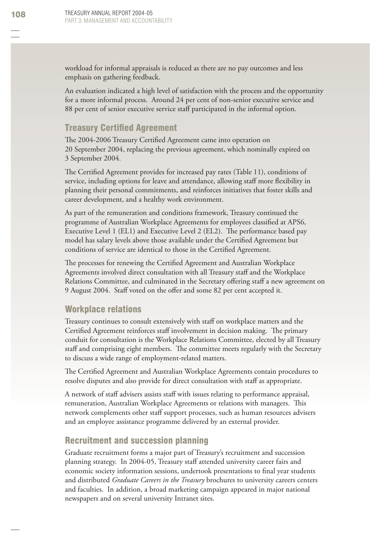workload for informal appraisals is reduced as there are no pay outcomes and less emphasis on gathering feedback.

An evaluation indicated a high level of satisfaction with the process and the opportunity for a more informal process. Around 24 per cent of non-senior executive service and 88 per cent of senior executive service staff participated in the informal option.

# **Treasury Certified Agreement**

The 2004-2006 Treasury Certified Agreement came into operation on 20 September 2004, replacing the previous agreement, which nominally expired on 3 September 2004.

The Certified Agreement provides for increased pay rates (Table 11), conditions of service, including options for leave and attendance, allowing staff more flexibility in planning their personal commitments, and reinforces initiatives that foster skills and career development, and a healthy work environment.

As part of the remuneration and conditions framework, Treasury continued the programme of Australian Workplace Agreements for employees classified at APS6, Executive Level 1 (EL1) and Executive Level 2 (EL2). The performance based pay model has salary levels above those available under the Certified Agreement but conditions of service are identical to those in the Certified Agreement.

The processes for renewing the Certified Agreement and Australian Workplace Agreements involved direct consultation with all Treasury staff and the Workplace Relations Committee, and culminated in the Secretary offering staff a new agreement on 9 August 2004. Staff voted on the offer and some 82 per cent accepted it.

### Workplace relations

Treasury continues to consult extensively with staff on workplace matters and the Certified Agreement reinforces staff involvement in decision making. The primary conduit for consultation is the Workplace Relations Committee, elected by all Treasury staff and comprising eight members. The committee meets regularly with the Secretary to discuss a wide range of employment-related matters.

The Certified Agreement and Australian Workplace Agreements contain procedures to resolve disputes and also provide for direct consultation with staff as appropriate.

A network of staff advisers assists staff with issues relating to performance appraisal, remuneration, Australian Workplace Agreements or relations with managers. This network complements other staff support processes, such as human resources advisers and an employee assistance programme delivered by an external provider.

#### Recruitment and succession planning

Graduate recruitment forms a major part of Treasury's recruitment and succession planning strategy. In 2004-05, Treasury staff attended university career fairs and economic society information sessions, undertook presentations to final year students and distributed *Graduate Careers in the Treasury* brochures to university careers centers and faculties. In addition, a broad marketing campaign appeared in major national newspapers and on several university Intranet sites.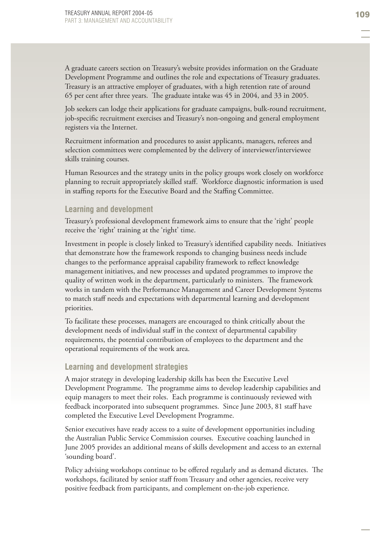A graduate careers section on Treasury's website provides information on the Graduate Development Programme and outlines the role and expectations of Treasury graduates. Treasury is an attractive employer of graduates, with a high retention rate of around 65 per cent after three years. The graduate intake was 45 in 2004, and 33 in 2005.

Job seekers can lodge their applications for graduate campaigns, bulk-round recruitment, job-specific recruitment exercises and Treasury's non-ongoing and general employment registers via the Internet.

Recruitment information and procedures to assist applicants, managers, referees and selection committees were complemented by the delivery of interviewer/interviewee skills training courses.

Human Resources and the strategy units in the policy groups work closely on workforce planning to recruit appropriately skilled staff. Workforce diagnostic information is used in staffing reports for the Executive Board and the Staffing Committee.

#### **Learning and development**

Treasury's professional development framework aims to ensure that the 'right' people receive the 'right' training at the 'right' time.

Investment in people is closely linked to Treasury's identified capability needs. Initiatives that demonstrate how the framework responds to changing business needs include changes to the performance appraisal capability framework to reflect knowledge management initiatives, and new processes and updated programmes to improve the quality of written work in the department, particularly to ministers. The framework works in tandem with the Performance Management and Career Development Systems to match staff needs and expectations with departmental learning and development priorities.

To facilitate these processes, managers are encouraged to think critically about the development needs of individual staff in the context of departmental capability requirements, the potential contribution of employees to the department and the operational requirements of the work area.

#### **Learning and development strategies**

A major strategy in developing leadership skills has been the Executive Level Development Programme. The programme aims to develop leadership capabilities and equip managers to meet their roles. Each programme is continuously reviewed with feedback incorporated into subsequent programmes. Since June 2003, 81 staff have completed the Executive Level Development Programme.

Senior executives have ready access to a suite of development opportunities including the Australian Public Service Commission courses. Executive coaching launched in June 2005 provides an additional means of skills development and access to an external 'sounding board'.

Policy advising workshops continue to be offered regularly and as demand dictates. The workshops, facilitated by senior staff from Treasury and other agencies, receive very positive feedback from participants, and complement on-the-job experience.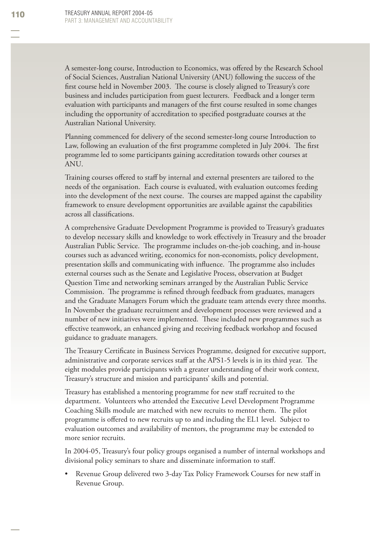A semester-long course, Introduction to Economics, was offered by the Research School of Social Sciences, Australian National University (ANU) following the success of the first course held in November 2003. The course is closely aligned to Treasury's core business and includes participation from guest lecturers. Feedback and a longer term evaluation with participants and managers of the first course resulted in some changes including the opportunity of accreditation to specified postgraduate courses at the Australian National University.

Planning commenced for delivery of the second semester-long course Introduction to Law, following an evaluation of the first programme completed in July 2004. The first programme led to some participants gaining accreditation towards other courses at ANU.

Training courses offered to staff by internal and external presenters are tailored to the needs of the organisation. Each course is evaluated, with evaluation outcomes feeding into the development of the next course. The courses are mapped against the capability framework to ensure development opportunities are available against the capabilities across all classifications.

A comprehensive Graduate Development Programme is provided to Treasury's graduates to develop necessary skills and knowledge to work effectively in Treasury and the broader Australian Public Service. The programme includes on-the-job coaching, and in-house courses such as advanced writing, economics for non-economists, policy development, presentation skills and communicating with influence. The programme also includes external courses such as the Senate and Legislative Process, observation at Budget Question Time and networking seminars arranged by the Australian Public Service Commission. The programme is refined through feedback from graduates, managers and the Graduate Managers Forum which the graduate team attends every three months. In November the graduate recruitment and development processes were reviewed and a number of new initiatives were implemented. These included new programmes such as effective teamwork, an enhanced giving and receiving feedback workshop and focused guidance to graduate managers.

The Treasury Certificate in Business Services Programme, designed for executive support, administrative and corporate services staff at the APS1-5 levels is in its third year. The eight modules provide participants with a greater understanding of their work context, Treasury's structure and mission and participants' skills and potential.

Treasury has established a mentoring programme for new staff recruited to the department. Volunteers who attended the Executive Level Development Programme Coaching Skills module are matched with new recruits to mentor them. The pilot programme is offered to new recruits up to and including the EL1 level. Subject to evaluation outcomes and availability of mentors, the programme may be extended to more senior recruits.

In 2004-05, Treasury's four policy groups organised a number of internal workshops and divisional policy seminars to share and disseminate information to staff.

Revenue Group delivered two 3-day Tax Policy Framework Courses for new staff in Revenue Group. •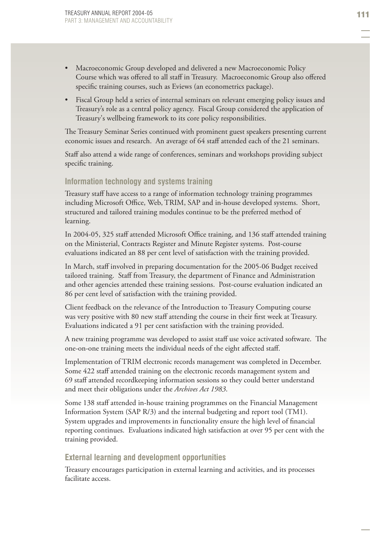- Macroeconomic Group developed and delivered a new Macroeconomic Policy Course which was offered to all staff in Treasury. Macroeconomic Group also offered specific training courses, such as Eviews (an econometrics package). •
- Fiscal Group held a series of internal seminars on relevant emerging policy issues and Treasury's role as a central policy agency. Fiscal Group considered the application of Treasury's wellbeing framework to its core policy responsibilities. •

The Treasury Seminar Series continued with prominent guest speakers presenting current economic issues and research. An average of 64 staff attended each of the 21 seminars.

Staff also attend a wide range of conferences, seminars and workshops providing subject specific training.

#### **Information technology and systems training**

Treasury staff have access to a range of information technology training programmes including Microsoft Office, Web, TRIM, SAP and in-house developed systems. Short, structured and tailored training modules continue to be the preferred method of learning.

In 2004-05, 325 staff attended Microsoft Office training, and 136 staff attended training on the Ministerial, Contracts Register and Minute Register systems. Post-course evaluations indicated an 88 per cent level of satisfaction with the training provided.

In March, staff involved in preparing documentation for the 2005-06 Budget received tailored training. Staff from Treasury, the department of Finance and Administration and other agencies attended these training sessions. Post-course evaluation indicated an 86 per cent level of satisfaction with the training provided.

Client feedback on the relevance of the Introduction to Treasury Computing course was very positive with 80 new staff attending the course in their first week at Treasury. Evaluations indicated a 91 per cent satisfaction with the training provided.

A new training programme was developed to assist staff use voice activated software. The one-on-one training meets the individual needs of the eight affected staff.

Implementation of TRIM electronic records management was completed in December. Some 422 staff attended training on the electronic records management system and 69 staff attended recordkeeping information sessions so they could better understand and meet their obligations under the *Archives Act 1983*.

Some 138 staff attended in-house training programmes on the Financial Management Information System (SAP R/3) and the internal budgeting and report tool (TM1). System upgrades and improvements in functionality ensure the high level of financial reporting continues. Evaluations indicated high satisfaction at over 95 per cent with the training provided.

#### **External learning and development opportunities**

Treasury encourages participation in external learning and activities, and its processes facilitate access.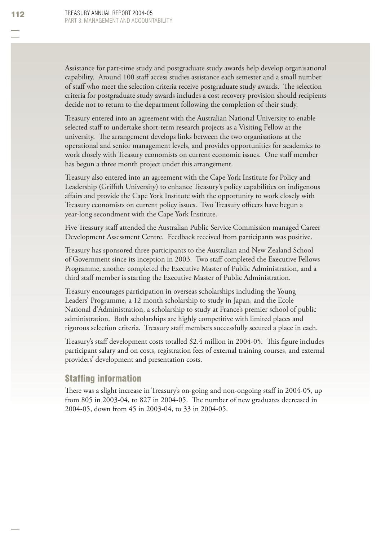Assistance for part-time study and postgraduate study awards help develop organisational capability. Around 100 staff access studies assistance each semester and a small number of staff who meet the selection criteria receive postgraduate study awards. The selection criteria for postgraduate study awards includes a cost recovery provision should recipients decide not to return to the department following the completion of their study.

Treasury entered into an agreement with the Australian National University to enable selected staff to undertake short-term research projects as a Visiting Fellow at the university. The arrangement develops links between the two organisations at the operational and senior management levels, and provides opportunities for academics to work closely with Treasury economists on current economic issues. One staff member has begun a three month project under this arrangement.

Treasury also entered into an agreement with the Cape York Institute for Policy and Leadership (Griffith University) to enhance Treasury's policy capabilities on indigenous affairs and provide the Cape York Institute with the opportunity to work closely with Treasury economists on current policy issues. Two Treasury officers have begun a year-long secondment with the Cape York Institute.

Five Treasury staff attended the Australian Public Service Commission managed Career Development Assessment Centre. Feedback received from participants was positive.

Treasury has sponsored three participants to the Australian and New Zealand School of Government since its inception in 2003. Two staff completed the Executive Fellows Programme, another completed the Executive Master of Public Administration, and a third staff member is starting the Executive Master of Public Administration.

Treasury encourages participation in overseas scholarships including the Young Leaders' Programme, a 12 month scholarship to study in Japan, and the Ecole National d'Administration, a scholarship to study at France's premier school of public administration. Both scholarships are highly competitive with limited places and rigorous selection criteria. Treasury staff members successfully secured a place in each.

Treasury's staff development costs totalled \$2.4 million in 2004-05. This figure includes participant salary and on costs, registration fees of external training courses, and external providers' development and presentation costs.

### **Staffing information**

There was a slight increase in Treasury's on-going and non-ongoing staff in 2004-05, up from 805 in 2003-04, to 827 in 2004-05. The number of new graduates decreased in 2004-05, down from 45 in 2003-04, to 33 in 2004-05.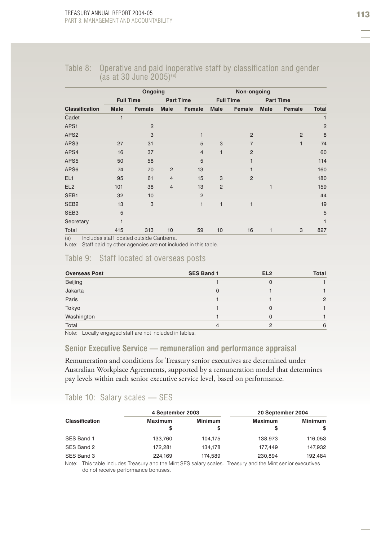#### Table 8: Operative and paid inoperative staff by classification and gender (as at 30 June 2005)<sup>(a)</sup>

|                       |      | Ongoing               |                |                  |                | Non-ongoing      |              |                  |                |
|-----------------------|------|-----------------------|----------------|------------------|----------------|------------------|--------------|------------------|----------------|
|                       |      | <b>Full Time</b>      |                | <b>Part Time</b> |                | <b>Full Time</b> |              | <b>Part Time</b> |                |
| <b>Classification</b> | Male | Female                | Male           | Female           | Male           | Female           | Male         | Female           | <b>Total</b>   |
| Cadet                 | 1    |                       |                |                  |                |                  |              |                  |                |
| APS1                  |      | $\overline{2}$        |                |                  |                |                  |              |                  | $\overline{c}$ |
| APS <sub>2</sub>      |      | 3                     |                | 1                |                | $\overline{2}$   |              | $\overline{2}$   | 8              |
| APS3                  | 27   | 31                    |                | 5                | 3              | $\overline{7}$   |              | $\mathbf{1}$     | 74             |
| APS4                  | 16   | 37                    |                | $\overline{4}$   | $\mathbf{1}$   | $\overline{2}$   |              |                  | 60             |
| APS5                  | 50   | 58                    |                | 5                |                |                  |              |                  | 114            |
| APS6                  | 74   | 70                    | $\overline{2}$ | 13               |                |                  |              |                  | 160            |
| EL1                   | 95   | 61                    | $\overline{4}$ | 15               | 3              | $\overline{2}$   |              |                  | 180            |
| EL <sub>2</sub>       | 101  | 38                    | $\overline{4}$ | 13               | $\overline{2}$ |                  | $\mathbf{1}$ |                  | 159            |
| SEB1                  | 32   | 10                    |                | $\overline{2}$   |                |                  |              |                  | 44             |
| SEB <sub>2</sub>      | 13   | 3                     |                | 1                | $\mathbf{1}$   | 1                |              |                  | 19             |
| SEB <sub>3</sub>      | 5    |                       |                |                  |                |                  |              |                  | 5              |
| Secretary             | 1    |                       |                |                  |                |                  |              |                  |                |
| Total<br>$\sqrt{1}$   | 415  | 313<br>$\blacksquare$ | 10             | 59               | 10             | 16               | 1            | 3                | 827            |

(a) Includes staff located outside Canberra.

Note: Staff paid by other agencies are not included in this table.

#### Table 9: Staff located at overseas posts

| <b>Overseas Post</b> | <b>SES Band 1</b> | EL <sub>2</sub> | <b>Total</b> |
|----------------------|-------------------|-----------------|--------------|
| Beijing              |                   | $\Omega$        |              |
| Jakarta              | 0                 |                 |              |
| Paris                |                   |                 | 2            |
| Tokyo                |                   | 0               |              |
| Washington           |                   | 0               |              |
| Total                | 4                 | $\mathcal{P}$   | 6            |

Note: Locally engaged staff are not included in tables.

#### **Senior Executive Service — remuneration and performance appraisal**

Remuneration and conditions for Treasury senior executives are determined under Australian Workplace Agreements, supported by a remuneration model that determines pay levels within each senior executive service level, based on performance.

#### Table 10: Salary scales — SES

|                       | 4 September 2003 |                | 20 September 2004 |                |  |
|-----------------------|------------------|----------------|-------------------|----------------|--|
| <b>Classification</b> | <b>Maximum</b>   | <b>Minimum</b> | Maximum           | <b>Minimum</b> |  |
|                       | S                | S              | s                 | S              |  |
| SES Band 1            | 133,760          | 104,175        | 138,973           | 116,053        |  |
| SES Band 2            | 172.281          | 134.178        | 177.449           | 147.932        |  |
| SES Band 3            | 224,169          | 174,589        | 230,894           | 192,484        |  |

Note: This table includes Treasury and the Mint SES salary scales. Treasury and the Mint senior executives do not receive performance bonuses.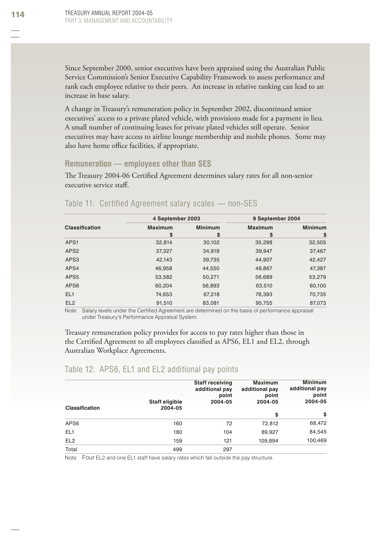Since September 2000, senior executives have been appraised using the Australian Public Service Commission's Senior Executive Capability Framework to assess performance and rank each employee relative to their peers. An increase in relative ranking can lead to an increase in base salary.

A change in Treasury's remuneration policy in September 2002, discontinued senior executives' access to a private plated vehicle, with provisions made for a payment in lieu. A small number of continuing leases for private plated vehicles still operate. Senior executives may have access to airline lounge membership and mobile phones. Some may also have home office facilities, if appropriate.

#### **Remuneration — employees other than SES**

The Treasury 2004-06 Certified Agreement determines salary rates for all non-senior executive service staff.

|                       | 4 September 2003 |                | 9 September 2004 |                |
|-----------------------|------------------|----------------|------------------|----------------|
| <b>Classification</b> | <b>Maximum</b>   | <b>Minimum</b> | <b>Maximum</b>   | <b>Minimum</b> |
|                       | \$               | \$             | \$               | \$             |
| APS1                  | 32,814           | 30,102         | 35,298           | 32,505         |
| APS <sub>2</sub>      | 37,327           | 34,919         | 39,947           | 37,467         |
| APS3                  | 42,143           | 39,735         | 44,907           | 42,427         |
| APS4                  | 46,958           | 44,550         | 49,867           | 47,387         |
| APS5                  | 53,582           | 50,271         | 56,689           | 53,279         |
| APS6                  | 60,204           | 56,893         | 63,510           | 60,100         |
| EL <sub>1</sub>       | 74,653           | 67,218         | 78,393           | 70,735         |
| EL <sub>2</sub>       | 91,510           | 83.081         | 95,755           | 87,073         |

#### Table 11: Certified Agreement salary scales — non-SES

Note: Salary levels under the Certified Agreement are determined on the basis of performance appraisal under Treasury's Performance Appraisal System.

Treasury remuneration policy provides for access to pay rates higher than those in the Certified Agreement to all employees classified as APS6, EL1 and EL2, through Australian Workplace Agreements.

### Table 12: APS6, EL1 and EL2 additional pay points

| <b>Classification</b> | Staff eligible<br>2004-05 | <b>Staff receiving</b><br>additional pay<br>point<br>2004-05 | <b>Maximum</b><br>additional pay<br>point<br>2004-05 | <b>Minimum</b><br>additional pay<br>point<br>2004-05 |
|-----------------------|---------------------------|--------------------------------------------------------------|------------------------------------------------------|------------------------------------------------------|
|                       |                           |                                                              | \$                                                   | \$                                                   |
| APS6                  | 160                       | 72                                                           | 72,812                                               | 68,472                                               |
| EL <sub>1</sub>       | 180                       | 104                                                          | 89,927                                               | 84,545                                               |
| EL <sub>2</sub>       | 159                       | 121                                                          | 109,894                                              | 100,469                                              |
| Total                 | 499                       | 297                                                          |                                                      |                                                      |

Note: Four EL2 and one EL1 staff have salary rates which fall outside the pay structure.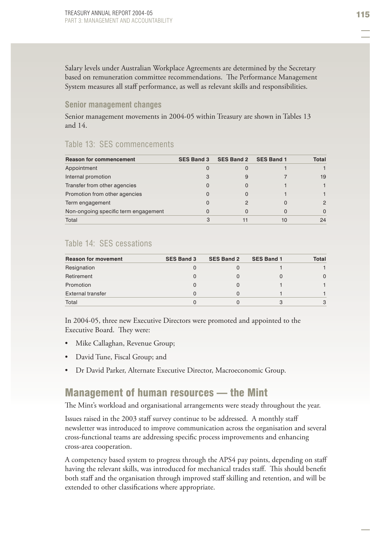Salary levels under Australian Workplace Agreements are determined by the Secretary based on remuneration committee recommendations. The Performance Management System measures all staff performance, as well as relevant skills and responsibilities.

#### **Senior management changes**

Senior management movements in 2004-05 within Treasury are shown in Tables 13 and 14.

#### Table 13: SES commencements

| <b>Reason for commencement</b>       | <b>SES Band 3</b> | <b>SES Band 2</b> | <b>SES Band 1</b> | Total |
|--------------------------------------|-------------------|-------------------|-------------------|-------|
| Appointment                          | 0                 |                   |                   |       |
| Internal promotion                   | 3                 | 9                 |                   | 19    |
| Transfer from other agencies         | 0                 | O                 |                   |       |
| Promotion from other agencies        | 0                 |                   |                   |       |
| Term engagement                      | O                 |                   |                   |       |
| Non-ongoing specific term engagement | 0                 | 0                 |                   |       |
| Total                                |                   |                   | 10                | 24    |

# Table 14: SES cessations

| <b>Reason for movement</b> | <b>SES Band 3</b> | SES Band 2 | <b>SES Band 1</b> | Total |
|----------------------------|-------------------|------------|-------------------|-------|
| Resignation                |                   |            |                   |       |
| Retirement                 |                   |            |                   |       |
| Promotion                  |                   |            |                   |       |
| External transfer          |                   |            |                   |       |
| Total                      |                   |            |                   |       |

In 2004-05, three new Executive Directors were promoted and appointed to the Executive Board. They were:

- Mike Callaghan, Revenue Group; •
- David Tune, Fiscal Group; and •
- Dr David Parker, Alternate Executive Director, Macroeconomic Group. •

# Management of human resources — the Mint

The Mint's workload and organisational arrangements were steady throughout the year.

Issues raised in the 2003 staff survey continue to be addressed. A monthly staff newsletter was introduced to improve communication across the organisation and several cross-functional teams are addressing specific process improvements and enhancing cross-area cooperation.

A competency based system to progress through the APS4 pay points, depending on staff having the relevant skills, was introduced for mechanical trades staff. This should benefit both staff and the organisation through improved staff skilling and retention, and will be extended to other classifications where appropriate.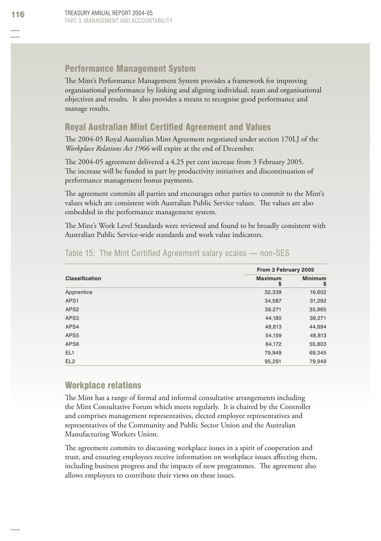# Performance Management System

The Mint's Performance Management System provides a framework for improving organisational performance by linking and aligning individual, team and organisational objectives and results. It also provides a means to recognise good performance and manage results.

# Royal Australian Mint Certified Agreement and Values

The 2004-05 Royal Australian Mint Agreement negotiated under section 170LJ of the *Workplace Relations Act 1966* will expire at the end of December.

The 2004-05 agreement delivered a 4.25 per cent increase from 3 February 2005. The increase will be funded in part by productivity initiatives and discontinuation of performance management bonus payments.

The agreement commits all parties and encourages other parties to commit to the Mint's values which are consistent with Australian Public Service values. The values are also embedded in the performance management system.

The Mint's Work Level Standards were reviewed and found to be broadly consistent with Australian Public Service-wide standards and work value indicators.

|                       | From 3 February 2005 |                      |  |
|-----------------------|----------------------|----------------------|--|
| <b>Classification</b> | <b>Maximum</b><br>S  | <b>Minimum</b><br>\$ |  |
| Apprentice            | 32,339               | 16,602               |  |
| APS1                  | 34,587               | 31,292               |  |
| APS <sub>2</sub>      | 39,271               | 35,965               |  |
| APS3                  | 44,180               | 39,271               |  |
| APS4                  | 48,813               | 44,894               |  |
| APS <sub>5</sub>      | 54,159               | 48,813               |  |
| APS6                  | 64,172               | 55,803               |  |
| EL1                   | 79,949               | 69,345               |  |
| EL <sub>2</sub>       | 95,291               | 79,949               |  |

# Table 15: The Mint Certified Agreement salary scales — non-SES

# Workplace relations

The Mint has a range of formal and informal consultative arrangements including the Mint Consultative Forum which meets regularly. It is chaired by the Controller and comprises management representatives, elected employee representatives and representatives of the Community and Public Sector Union and the Australian Manufacturing Workers Union.

The agreement commits to discussing workplace issues in a spirit of cooperation and trust, and ensuring employees receive information on workplace issues affecting them, including business progress and the impacts of new programmes. The agreement also allows employees to contribute their views on these issues.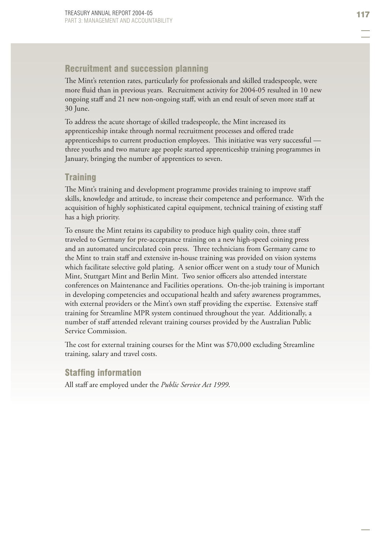# Recruitment and succession planning

The Mint's retention rates, particularly for professionals and skilled tradespeople, were more fluid than in previous years. Recruitment activity for 2004-05 resulted in 10 new ongoing staff and 21 new non-ongoing staff , with an end result of seven more staff at 30 June.

To address the acute shortage of skilled tradespeople, the Mint increased its apprenticeship intake through normal recruitment processes and offered trade apprenticeships to current production employees. This initiative was very successful three youths and two mature age people started apprenticeship training programmes in January, bringing the number of apprentices to seven.

# **Training**

The Mint's training and development programme provides training to improve staff skills, knowledge and attitude, to increase their competence and performance. With the acquisition of highly sophisticated capital equipment, technical training of existing staff has a high priority.

To ensure the Mint retains its capability to produce high quality coin, three staff traveled to Germany for pre-acceptance training on a new high-speed coining press and an automated uncirculated coin press. Three technicians from Germany came to the Mint to train staff and extensive in-house training was provided on vision systems which facilitate selective gold plating. A senior officer went on a study tour of Munich Mint, Stuttgart Mint and Berlin Mint. Two senior officers also attended interstate conferences on Maintenance and Facilities operations. On-the-job training is important in developing competencies and occupational health and safety awareness programmes, with external providers or the Mint's own staff providing the expertise. Extensive staff training for Streamline MPR system continued throughout the year. Additionally, a number of staff attended relevant training courses provided by the Australian Public Service Commission.

The cost for external training courses for the Mint was \$70,000 excluding Streamline training, salary and travel costs.

# **Staffing information**

All staff are employed under the *Public Service Act 1999*.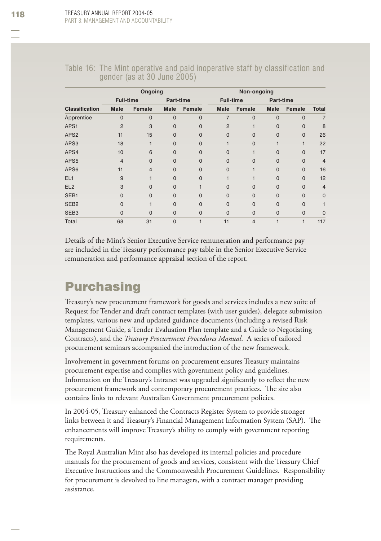| Ongoing                                                                                               | Non-ongoing |
|-------------------------------------------------------------------------------------------------------|-------------|
| TADIG TO. THE MINITUDE AND AND DAIG MODELANDE STAIL BY GROSHIGANON AND<br>gender (as at 30 June 2005) |             |

Table 16: The Mint operative and paid inoperative staff by classification and

|                       | <b>Ungong</b>    |          |           |          |                | <b>NON-ONGONITY</b> |             |              |                |  |
|-----------------------|------------------|----------|-----------|----------|----------------|---------------------|-------------|--------------|----------------|--|
|                       | <b>Full-time</b> |          | Part-time |          |                | <b>Full-time</b>    |             | Part-time    |                |  |
| <b>Classification</b> | <b>Male</b>      | Female   | Male      | Female   | Male           | Female              | <b>Male</b> | Female       | <b>Total</b>   |  |
| Apprentice            | $\Omega$         | 0        | $\Omega$  | $\Omega$ | 7              | $\Omega$            | $\Omega$    | $\Omega$     |                |  |
| APS1                  | $\overline{2}$   | 3        | $\Omega$  | $\Omega$ | $\overline{2}$ |                     | 0           | $\Omega$     | 8              |  |
| APS <sub>2</sub>      | 11               | 15       | 0         | O        | U              | O                   | 0           | $\mathbf{0}$ | 26             |  |
| APS3                  | 18               |          | U         | O        |                | O                   |             |              | 22             |  |
| APS4                  | 10               | 6        | 0         | ი        | n              |                     | 0           | $\mathbf{0}$ | 17             |  |
| APS5                  | $\overline{4}$   | $\Omega$ | $\Omega$  | $\Omega$ | O              | O                   | 0           | $\Omega$     | $\overline{4}$ |  |
| APS6                  | 11               | 4        | U         |          |                |                     | O           | $\Omega$     | 16             |  |
| EL <sub>1</sub>       | 9                |          | O         | ი        |                |                     | 0           | $\mathbf 0$  | 12             |  |
| EL <sub>2</sub>       | 3                | O        | U         |          |                | O                   | O           | $\Omega$     | $\overline{4}$ |  |
| SEB1                  |                  | O        | U         |          | O              | O                   | O           | $\Omega$     | $\mathbf 0$    |  |
| SEB <sub>2</sub>      | n                |          | $\Omega$  | $\Omega$ | $\Omega$       | 0                   | 0           | $\Omega$     |                |  |
| SEB <sub>3</sub>      | 0                | O        | 0         | 0        | 0              | $\Omega$            | 0           | $\mathbf 0$  | $\Omega$       |  |
| Total                 | 68               | 31       | $\Omega$  |          | 11             | $\overline{4}$      |             |              | 117            |  |

Details of the Mint's Senior Executive Service remuneration and performance pay are included in the Treasury performance pay table in the Senior Executive Service remuneration and performance appraisal section of the report.

# **Purchasing**

Treasury's new procurement framework for goods and services includes a new suite of Request for Tender and draft contract templates (with user guides), delegate submission templates, various new and updated guidance documents (including a revised Risk Management Guide, a Tender Evaluation Plan template and a Guide to Negotiating Contracts), and the *Treasury Procurement Procedures Manual*. A series of tailored procurement seminars accompanied the introduction of the new framework.

Involvement in government forums on procurement ensures Treasury maintains procurement expertise and complies with government policy and guidelines. Information on the Treasury's Intranet was upgraded significantly to reflect the new procurement framework and contemporary procurement practices. The site also contains links to relevant Australian Government procurement policies.

In 2004-05, Treasury enhanced the Contracts Register System to provide stronger links between it and Treasury's Financial Management Information System (SAP). The enhancements will improve Treasury's ability to comply with government reporting requirements.

The Royal Australian Mint also has developed its internal policies and procedure manuals for the procurement of goods and services, consistent with the Treasury Chief Executive Instructions and the Commonwealth Procurement Guidelines. Responsibility for procurement is devolved to line managers, with a contract manager providing assistance.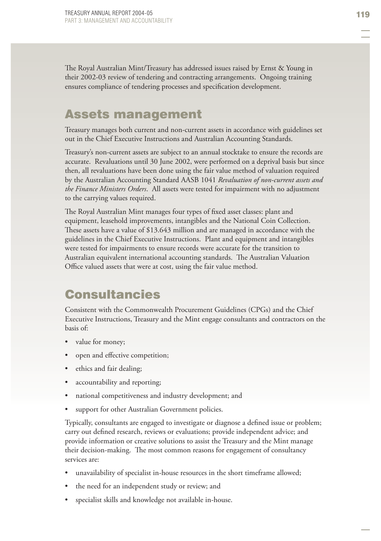The Royal Australian Mint/Treasury has addressed issues raised by Ernst & Young in their 2002-03 review of tendering and contracting arrangements. Ongoing training ensures compliance of tendering processes and specification development.

# Assets management

Treasury manages both current and non-current assets in accordance with guidelines set out in the Chief Executive Instructions and Australian Accounting Standards.

Treasury's non-current assets are subject to an annual stocktake to ensure the records are accurate. Revaluations until 30 June 2002, were performed on a deprival basis but since then, all revaluations have been done using the fair value method of valuation required by the Australian Accounting Standard AASB 1041 *Revaluation of non-current assets and the Finance Ministers Orders*. All assets were tested for impairment with no adjustment to the carrying values required.

The Royal Australian Mint manages four types of fixed asset classes: plant and equipment, leasehold improvements, intangibles and the National Coin Collection. These assets have a value of  $$13.643$  million and are managed in accordance with the guidelines in the Chief Executive Instructions. Plant and equipment and intangibles were tested for impairments to ensure records were accurate for the transition to Australian equivalent international accounting standards. The Australian Valuation Office valued assets that were at cost, using the fair value method.

# **Consultancies**

Consistent with the Commonwealth Procurement Guidelines (CPGs) and the Chief Executive Instructions, Treasury and the Mint engage consultants and contractors on the basis of:

- value for money; •
- open and effective competition; •
- ethics and fair dealing; •
- accountability and reporting; •
- national competitiveness and industry development; and •
- support for other Australian Government policies. •

Typically, consultants are engaged to investigate or diagnose a defined issue or problem; carry out defined research, reviews or evaluations; provide independent advice; and provide information or creative solutions to assist the Treasury and the Mint manage their decision-making. The most common reasons for engagement of consultancy services are:

- unavailability of specialist in-house resources in the short timeframe allowed; •
- the need for an independent study or review; and •
- specialist skills and knowledge not available in-house. •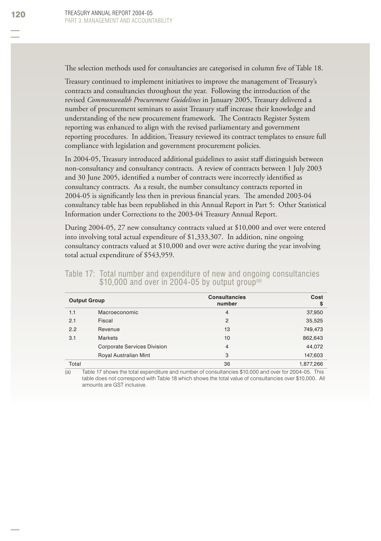The selection methods used for consultancies are categorised in column five of Table 18.

Treasury continued to implement initiatives to improve the management of Treasury's contracts and consultancies throughout the year. Following the introduction of the revised *Commonwealth Procurement Guidelines* in January 2005, Treasury delivered a number of procurement seminars to assist Treasury staff increase their knowledge and understanding of the new procurement framework. The Contracts Register System reporting was enhanced to align with the revised parliamentary and government reporting procedures. In addition, Treasury reviewed its contract templates to ensure full compliance with legislation and government procurement policies.

In 2004-05, Treasury introduced additional guidelines to assist staff distinguish between non-consultancy and consultancy contracts. A review of contracts between 1 July 2003 and 30 June 2005, identified a number of contracts were incorrectly identified as consultancy contracts. As a result, the number consultancy contracts reported in 2004-05 is significantly less then in previous financial years. The amended 2003-04 consultancy table has been republished in this Annual Report in Part 5: Other Statistical Information under Corrections to the 2003-04 Treasury Annual Report.

During 2004-05, 27 new consultancy contracts valued at \$10,000 and over were entered into involving total actual expenditure of \$1,333,307. In addition, nine ongoing consultancy contracts valued at \$10,000 and over were active during the year involving total actual expenditure of \$543,959.

|  |                                                              |  |  |  | Table 17: Total number and expenditure of new and ongoing consultancies |
|--|--------------------------------------------------------------|--|--|--|-------------------------------------------------------------------------|
|  | $$10,000$ and over in 2004-05 by output group <sup>(a)</sup> |  |  |  |                                                                         |

| <b>Output Group</b> |                                    | <b>Consultancies</b><br>number | Cost<br>s |
|---------------------|------------------------------------|--------------------------------|-----------|
| 1.1                 | Macroeconomic                      | $\overline{4}$                 | 37,950    |
| 2.1                 | Fiscal                             | $\overline{2}$                 | 35,525    |
| 2.2                 | Revenue                            | 13                             | 749,473   |
| 3.1                 | <b>Markets</b>                     | 10                             | 862,643   |
|                     | <b>Corporate Services Division</b> | 4                              | 44,072    |
|                     | Royal Australian Mint              | 3                              | 147,603   |
| Total               |                                    | 36                             | 1,877,266 |

(a) Table 17 shows the total expenditure and number of consultancies \$10,000 and over for 2004-05. This table does not correspond with Table 18 which shows the total value of consultancies over \$10,000. All amounts are GST inclusive.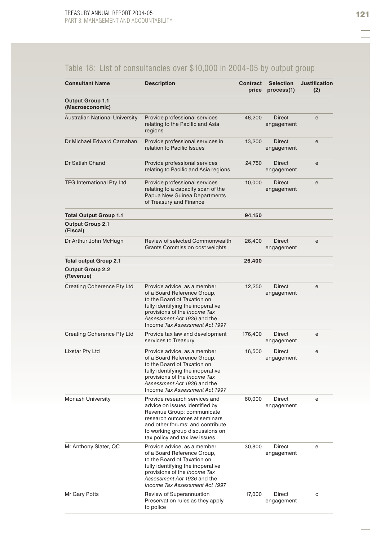# Table 18: List of consultancies over \$10,000 in 2004-05 by output group

| <b>Consultant Name</b>                     | <b>Description</b>                                                                                                                                                                                                                     | Contract<br>price | <b>Selection</b><br>process(1) | <b>Justification</b><br>(2) |
|--------------------------------------------|----------------------------------------------------------------------------------------------------------------------------------------------------------------------------------------------------------------------------------------|-------------------|--------------------------------|-----------------------------|
| <b>Output Group 1.1</b><br>(Macroeconomic) |                                                                                                                                                                                                                                        |                   |                                |                             |
| <b>Australian National University</b>      | Provide professional services<br>relating to the Pacific and Asia<br>regions                                                                                                                                                           | 46,200            | <b>Direct</b><br>engagement    | e                           |
| Dr Michael Edward Carnahan                 | Provide professional services in<br>relation to Pacific Issues                                                                                                                                                                         | 13,200            | <b>Direct</b><br>engagement    | e                           |
| Dr Satish Chand                            | Provide professional services<br>relating to Pacific and Asia regions                                                                                                                                                                  | 24,750            | Direct<br>engagement           | e                           |
| <b>TFG International Pty Ltd</b>           | Provide professional services<br>relating to a capacity scan of the<br>Papua New Guinea Departments<br>of Treasury and Finance                                                                                                         | 10,000            | <b>Direct</b><br>engagement    | e                           |
| <b>Total Output Group 1.1</b>              |                                                                                                                                                                                                                                        | 94,150            |                                |                             |
| <b>Output Group 2.1</b><br>(Fiscal)        |                                                                                                                                                                                                                                        |                   |                                |                             |
| Dr Arthur John McHugh                      | Review of selected Commonwealth<br>Grants Commission cost weights                                                                                                                                                                      | 26,400            | Direct<br>engagement           | e                           |
| <b>Total output Group 2.1</b>              |                                                                                                                                                                                                                                        | 26,400            |                                |                             |
| <b>Output Group 2.2</b><br>(Revenue)       |                                                                                                                                                                                                                                        |                   |                                |                             |
| Creating Coherence Pty Ltd                 | Provide advice, as a member<br>of a Board Reference Group,<br>to the Board of Taxation on<br>fully identifying the inoperative<br>provisions of the Income Tax<br>Assessment Act 1936 and the<br>Income Tax Assessment Act 1997        | 12,250            | <b>Direct</b><br>engagement    | e                           |
| <b>Creating Coherence Pty Ltd</b>          | Provide tax law and development<br>services to Treasury                                                                                                                                                                                | 176,400           | Direct<br>engagement           | е                           |
| Lixstar Pty Ltd                            | Provide advice, as a member<br>of a Board Reference Group,<br>to the Board of Taxation on<br>fully identifying the inoperative<br>provisions of the <i>Income Tax</i><br>Assessment Act 1936 and the<br>Income Tax Assessment Act 1997 | 16,500            | Direct<br>engagement           | e                           |
| <b>Monash University</b>                   | Provide research services and<br>advice on issues identified by<br>Revenue Group; communicate<br>research outcomes at seminars<br>and other forums; and contribute<br>to working group discussions on<br>tax policy and tax law issues | 60,000            | Direct<br>engagement           | e                           |
| Mr Anthony Slater, QC                      | Provide advice, as a member<br>of a Board Reference Group,<br>to the Board of Taxation on<br>fully identifying the inoperative<br>provisions of the Income Tax<br>Assessment Act 1936 and the<br>Income Tax Assessment Act 1997        | 30,800            | Direct<br>engagement           | е                           |
| Mr Gary Potts                              | Review of Superannuation<br>Preservation rules as they apply<br>to police                                                                                                                                                              | 17,000            | Direct<br>engagement           | с                           |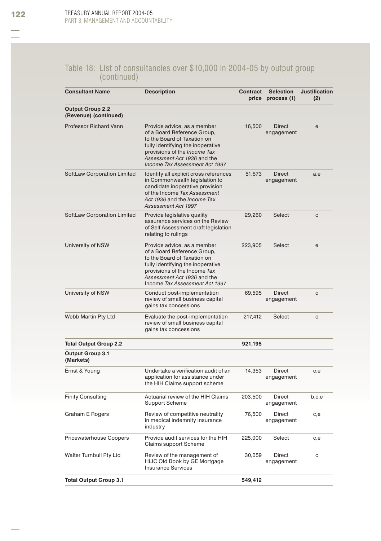#### Table 18: List of consultancies over \$10,000 in 2004-05 by output group (continued)

| <b>Consultant Name</b>                           | <b>Description</b>                                                                                                                                                                                                                     | Contract | <b>Selection</b><br>price process (1) | <b>Justification</b><br>(2) |
|--------------------------------------------------|----------------------------------------------------------------------------------------------------------------------------------------------------------------------------------------------------------------------------------------|----------|---------------------------------------|-----------------------------|
| <b>Output Group 2.2</b><br>(Revenue) (continued) |                                                                                                                                                                                                                                        |          |                                       |                             |
| <b>Professor Richard Vann</b>                    | Provide advice, as a member<br>of a Board Reference Group,<br>to the Board of Taxation on<br>fully identifying the inoperative<br>provisions of the <i>Income Tax</i><br>Assessment Act 1936 and the<br>Income Tax Assessment Act 1997 | 16,500   | <b>Direct</b><br>engagement           | e                           |
| SoftLaw Corporation Limited                      | Identify all explicit cross references<br>in Commonwealth legislation to<br>candidate inoperative provision<br>of the Income Tax Assessment<br>Act 1936 and the Income Tax<br>Assessment Act 1997                                      | 51,573   | Direct<br>engagement                  | a,e                         |
| SoftLaw Corporation Limited                      | Provide legislative quality<br>assurance services on the Review<br>of Self Assessment draft legislation<br>relating to rulings                                                                                                         | 29,260   | Select                                | c                           |
| University of NSW                                | Provide advice, as a member<br>of a Board Reference Group.<br>to the Board of Taxation on<br>fully identifying the inoperative<br>provisions of the Income Tax<br>Assessment Act 1936 and the<br>Income Tax Assessment Act 1997        | 223,905  | Select                                | e                           |
| University of NSW                                | Conduct post-implementation<br>review of small business capital<br>gains tax concessions                                                                                                                                               | 69,595   | <b>Direct</b><br>engagement           | с                           |
| Webb Martin Pty Ltd                              | Evaluate the post-implementation<br>review of small business capital<br>gains tax concessions                                                                                                                                          | 217,412  | Select                                | с                           |
| <b>Total Output Group 2.2</b>                    |                                                                                                                                                                                                                                        | 921,195  |                                       |                             |
| <b>Output Group 3.1</b><br>(Markets)             |                                                                                                                                                                                                                                        |          |                                       |                             |
| Ernst & Young                                    | Undertake a verification audit of an<br>application for assistance under<br>the HIH Claims support scheme                                                                                                                              | 14,353   | Direct<br>engagement                  | c,e                         |
| <b>Finity Consulting</b>                         | Actuarial review of the HIH Claims<br><b>Support Scheme</b>                                                                                                                                                                            | 203,500  | Direct<br>engagement                  | b,c,e                       |
| Graham E Rogers                                  | Review of competitive neutrality<br>in medical indemnity insurance<br>industry                                                                                                                                                         | 76,500   | Direct<br>engagement                  | c,e                         |
| <b>Pricewaterhouse Coopers</b>                   | Provide audit services for the HIH<br>Claims support Scheme                                                                                                                                                                            | 225,000  | Select                                | c,e                         |
| Walter Turnbull Pty Ltd                          | Review of the management of<br>HLIC Old Book by GE Mortgage<br><b>Insurance Services</b>                                                                                                                                               | 30,059   | Direct<br>engagement                  | с                           |
| <b>Total Output Group 3.1</b>                    |                                                                                                                                                                                                                                        | 549,412  |                                       |                             |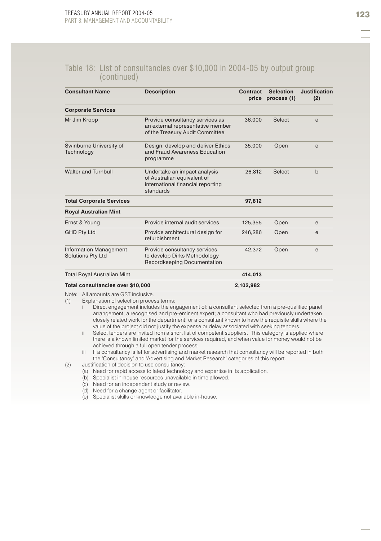#### Table 18: List of consultancies over \$10,000 in 2004-05 by output group (continued)

| <b>Consultant Name</b>                                    | <b>Description</b>                                                                                            | Contract<br>price | <b>Selection</b><br>process (1) | Justification<br>(2) |
|-----------------------------------------------------------|---------------------------------------------------------------------------------------------------------------|-------------------|---------------------------------|----------------------|
| <b>Corporate Services</b>                                 |                                                                                                               |                   |                                 |                      |
| Mr Jim Kropp                                              | Provide consultancy services as<br>an external representative member<br>of the Treasury Audit Committee       | 36,000            | Select                          | e                    |
| Swinburne University of<br>Technology                     | Design, develop and deliver Ethics<br>and Fraud Awareness Education<br>programme                              | 35,000            | Open                            | e                    |
| Walter and Turnbull                                       | Undertake an impact analysis<br>of Australian equivalent of<br>international financial reporting<br>standards | 26.812            | Select                          | $\mathbf b$          |
| <b>Total Corporate Services</b>                           |                                                                                                               | 97,812            |                                 |                      |
| <b>Royal Australian Mint</b>                              |                                                                                                               |                   |                                 |                      |
| Ernst & Young                                             | Provide internal audit services                                                                               | 125,355           | Open                            | e                    |
| <b>GHD Pty Ltd</b>                                        | Provide architectural design for<br>refurbishment                                                             | 246,286           | Open                            | e                    |
| <b>Information Management</b><br><b>Solutions Pty Ltd</b> | Provide consultancy services<br>to develop Dirks Methodology<br>Recordkeeping Documentation                   | 42.372            | Open                            | e                    |
| Total Royal Australian Mint                               |                                                                                                               | 414,013           |                                 |                      |

#### **Total consultancies over \$10,000 2,102,982**

Note: All amounts are GST inclusive.

(1) Explanation of selection process terms:

- i Direct engagement includes the engagement of: a consultant selected from a pre-qualified panel arrangement; a recognised and pre-eminent expert; a consultant who had previously undertaken closely related work for the department; or a consultant known to have the requisite skills where the value of the project did not justify the expense or delay associated with seeking tenders.
	- ii Select tenders are invited from a short list of competent suppliers. This category is applied where there is a known limited market for the services required, and when value for money would not be achieved through a full open tender process.
	- iii If a consultancy is let for advertising and market research that consultancy will be reported in both the 'Consultancy' and 'Advertising and Market Research' categories of this report.
- (2) Justification of decision to use consultancy:
	- (a) Need for rapid access to latest technology and expertise in its application.
	- (b) Specialist in-house resources unavailable in time allowed.
	- (c) Need for an independent study or review.
	- (d) Need for a change agent or facilitator.
	- (e) Specialist skills or knowledge not available in-house.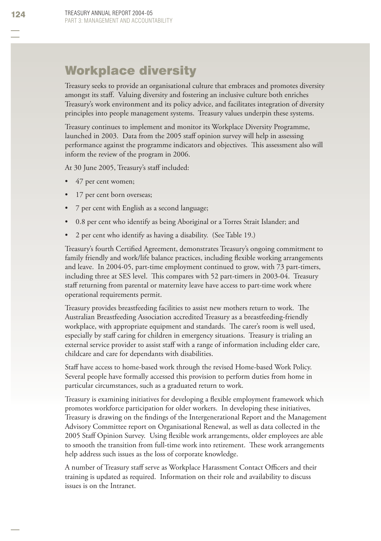# Workplace diversity

Treasury seeks to provide an organisational culture that embraces and promotes diversity amongst its staff. Valuing diversity and fostering an inclusive culture both enriches Treasury's work environment and its policy advice, and facilitates integration of diversity principles into people management systems. Treasury values underpin these systems.

Treasury continues to implement and monitor its Workplace Diversity Programme, launched in 2003. Data from the 2005 staff opinion survey will help in assessing performance against the programme indicators and objectives. This assessment also will inform the review of the program in 2006.

At 30 June 2005, Treasury's staff included:

- 47 per cent women; •
- 17 per cent born overseas; •
- 7 per cent with English as a second language; •
- 0.8 per cent who identify as being Aboriginal or a Torres Strait Islander; and •
- 2 per cent who identify as having a disability. (See Table 19.) •

Treasury's fourth Certified Agreement, demonstrates Treasury's ongoing commitment to family friendly and work/life balance practices, including flexible working arrangements and leave. In 2004-05, part-time employment continued to grow, with 73 part-timers, including three at SES level. This compares with 52 part-timers in 2003-04. Treasury staff returning from parental or maternity leave have access to part-time work where operational requirements permit.

Treasury provides breastfeeding facilities to assist new mothers return to work. The Australian Breastfeeding Association accredited Treasury as a breastfeeding-friendly workplace, with appropriate equipment and standards. The carer's room is well used, especially by staff caring for children in emergency situations. Treasury is trialing an external service provider to assist staff with a range of information including elder care, childcare and care for dependants with disabilities.

Staff have access to home-based work through the revised Home-based Work Policy. Several people have formally accessed this provision to perform duties from home in particular circumstances, such as a graduated return to work.

Treasury is examining initiatives for developing a flexible employment framework which promotes workforce participation for older workers. In developing these initiatives, Treasury is drawing on the findings of the Intergenerational Report and the Management Advisory Committee report on Organisational Renewal, as well as data collected in the 2005 Staff Opinion Survey. Using flexible work arrangements, older employees are able to smooth the transition from full-time work into retirement. These work arrangements help address such issues as the loss of corporate knowledge.

A number of Treasury staff serve as Workplace Harassment Contact Officers and their training is updated as required. Information on their role and availability to discuss issues is on the Intranet.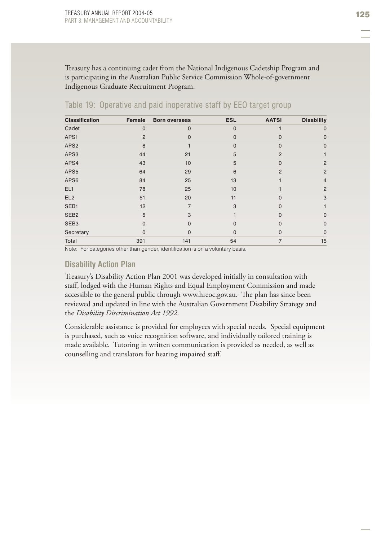Treasury has a continuing cadet from the National Indigenous Cadetship Program and is participating in the Australian Public Service Commission Whole-of-government Indigenous Graduate Recruitment Program.

| <b>Classification</b> | Female         | <b>Born overseas</b> | <b>ESL</b>     | <b>AATSI</b>   | <b>Disability</b> |
|-----------------------|----------------|----------------------|----------------|----------------|-------------------|
| Cadet                 | $\mathbf 0$    | $\mathbf{0}$         | $\overline{0}$ |                | $\mathbf 0$       |
| APS1                  | $\overline{2}$ | <sup>n</sup>         | O              | O              | $\Omega$          |
| APS <sub>2</sub>      | 8              |                      | 0              | 0              | $\Omega$          |
| APS3                  | 44             | 21                   | 5              | $\overline{2}$ |                   |
| APS4                  | 43             | 10                   | 5              | 0              | 2                 |
| APS5                  | 64             | 29                   | 6              | $\overline{2}$ | $\overline{2}$    |
| APS6                  | 84             | 25                   | 13             |                | $\overline{4}$    |
| EL1                   | 78             | 25                   | 10             |                | $\overline{2}$    |
| EL <sub>2</sub>       | 51             | 20                   | 11             | 0              | 3                 |
| SEB1                  | 12             | 7                    | 3              | O              |                   |
| SEB <sub>2</sub>      | 5              | 3                    |                | 0              | $\Omega$          |
| SEB <sub>3</sub>      | $\Omega$       | $\Omega$             | $\Omega$       | O              | $\Omega$          |
| Secretary             | $\Omega$       | $\Omega$             | $\Omega$       | $\Omega$       | $\Omega$          |
| Total                 | 391            | 141                  | 54             | 7              | 15                |

#### Table 19: Operative and paid inoperative staff by EEO target group

Note: For categories other than gender, identification is on a voluntary basis.

#### **Disability Action Plan**

Treasury's Disability Action Plan 2001 was developed initially in consultation with staff, lodged with the Human Rights and Equal Employment Commission and made accessible to the general public through www.hreoc.gov.au. The plan has since been reviewed and updated in line with the Australian Government Disability Strategy and the *Disability Discrimination Act 1992*.

Considerable assistance is provided for employees with special needs. Special equipment is purchased, such as voice recognition software, and individually tailored training is made available. Tutoring in written communication is provided as needed, as well as counselling and translators for hearing impaired staff.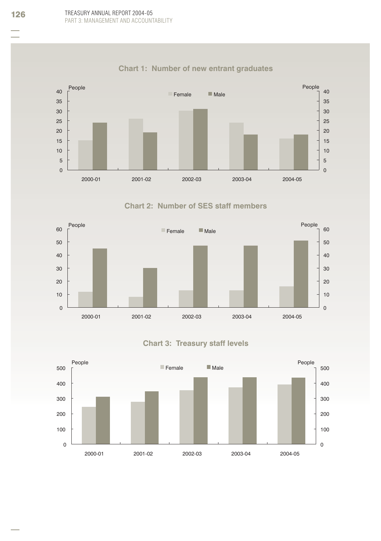

# **Chart 1: Number of new entrant graduates**

# **Chart 2: Number of SES staff members**



# **Chart 3: Treasury staff levels**

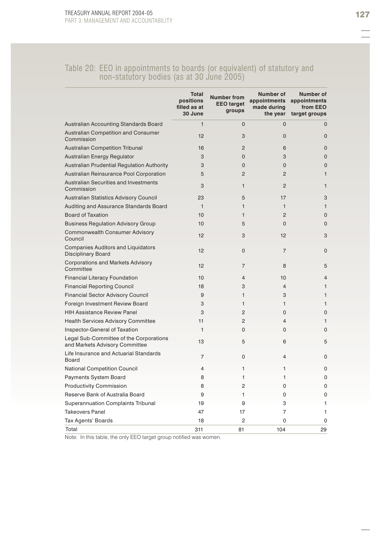#### Table 20: EEO in appointments to boards (or equivalent) of statutory and non-statutory bodies (as at 30 June 2005)

|                                                                           | <b>Total</b><br>positions<br>filled as at<br>30 June | <b>Number from</b><br><b>EEO</b> target<br>groups | Number of<br>appointments<br>made during<br>the year | Number of<br>appointments<br>from EEO<br>target groups |
|---------------------------------------------------------------------------|------------------------------------------------------|---------------------------------------------------|------------------------------------------------------|--------------------------------------------------------|
| Australian Accounting Standards Board                                     | $\mathbf{1}$                                         | $\mathbf 0$                                       | $\Omega$                                             | $\mathbf{0}$                                           |
| <b>Australian Competition and Consumer</b><br>Commission                  | 12                                                   | 3                                                 | 0                                                    | $\Omega$                                               |
| <b>Australian Competition Tribunal</b>                                    | 16                                                   | $\overline{2}$                                    | 6                                                    | $\Omega$                                               |
| Australian Energy Regulator                                               | 3                                                    | $\Omega$                                          | 3                                                    | $\Omega$                                               |
| Australian Prudential Regulation Authority                                | 3                                                    | 0                                                 | 0                                                    | $\mathbf{0}$                                           |
| Australian Reinsurance Pool Corporation                                   | 5                                                    | $\overline{2}$                                    | $\overline{2}$                                       | $\mathbf{1}$                                           |
| <b>Australian Securities and Investments</b><br>Commission                | 3                                                    | $\mathbf{1}$                                      | $\overline{2}$                                       | $\mathbf{1}$                                           |
| Australian Statistics Advisory Council                                    | 23                                                   | 5                                                 | 17                                                   | 3                                                      |
| Auditing and Assurance Standards Board                                    | $\mathbf{1}$                                         | $\mathbf{1}$                                      | $\mathbf{1}$                                         | $\mathbf{1}$                                           |
| <b>Board of Taxation</b>                                                  | 10                                                   | $\mathbf{1}$                                      | $\overline{2}$                                       | $\Omega$                                               |
| <b>Business Regulation Advisory Group</b>                                 | 10                                                   | 5                                                 | 0                                                    | $\mathbf{0}$                                           |
| Commonwealth Consumer Advisory<br>Council                                 | 12                                                   | 3                                                 | 12                                                   | 3                                                      |
| <b>Companies Auditors and Liquidators</b><br><b>Disciplinary Board</b>    | 12                                                   | $\Omega$                                          | $\overline{7}$                                       | $\Omega$                                               |
| Corporations and Markets Advisory<br>Committee                            | 12                                                   | $\overline{7}$                                    | 8                                                    | 5                                                      |
| <b>Financial Literacy Foundation</b>                                      | 10                                                   | $\overline{4}$                                    | 10                                                   | $\overline{4}$                                         |
| <b>Financial Reporting Council</b>                                        | 18                                                   | 3                                                 | 4                                                    | $\mathbf{1}$                                           |
| <b>Financial Sector Advisory Council</b>                                  | 9                                                    | 1                                                 | 3                                                    | $\mathbf{1}$                                           |
| Foreign Investment Review Board                                           | 3                                                    | 1                                                 | 1                                                    | $\mathbf{1}$                                           |
| <b>HIH Assistance Review Panel</b>                                        | 3                                                    | $\overline{2}$                                    | 0                                                    | $\Omega$                                               |
| <b>Health Services Advisory Committee</b>                                 | 11                                                   | $\overline{2}$                                    | 4                                                    | $\mathbf{1}$                                           |
| Inspector-General of Taxation                                             | 1                                                    | $\Omega$                                          | 0                                                    | 0                                                      |
| Legal Sub-Committee of the Corporations<br>and Markets Advisory Committee | 13                                                   | 5                                                 | 6                                                    | 5                                                      |
| Life Insurance and Actuarial Standards<br>Board                           | 7                                                    | $\Omega$                                          | 4                                                    | $\Omega$                                               |
| National Competition Council                                              | 4                                                    | 1                                                 | 1                                                    | 0                                                      |
| <b>Payments System Board</b>                                              | 8                                                    | 1                                                 | 1                                                    | 0                                                      |
| <b>Productivity Commission</b>                                            | 8                                                    | $\overline{2}$                                    | $\Omega$                                             | $\Omega$                                               |
| Reserve Bank of Australia Board                                           | 9                                                    | 1                                                 | 0                                                    | $\Omega$                                               |
| Superannuation Complaints Tribunal                                        | 19                                                   | 9                                                 | 3                                                    | 1                                                      |
| <b>Takeovers Panel</b>                                                    | 47                                                   | 17                                                | 7                                                    | 1                                                      |
| Tax Agents' Boards                                                        | 18                                                   | $\overline{2}$                                    | 0                                                    | $\Omega$                                               |
| Total                                                                     | 311                                                  | 81                                                | 104                                                  | 29                                                     |

Note: In this table, the only EEO target group notified was women.